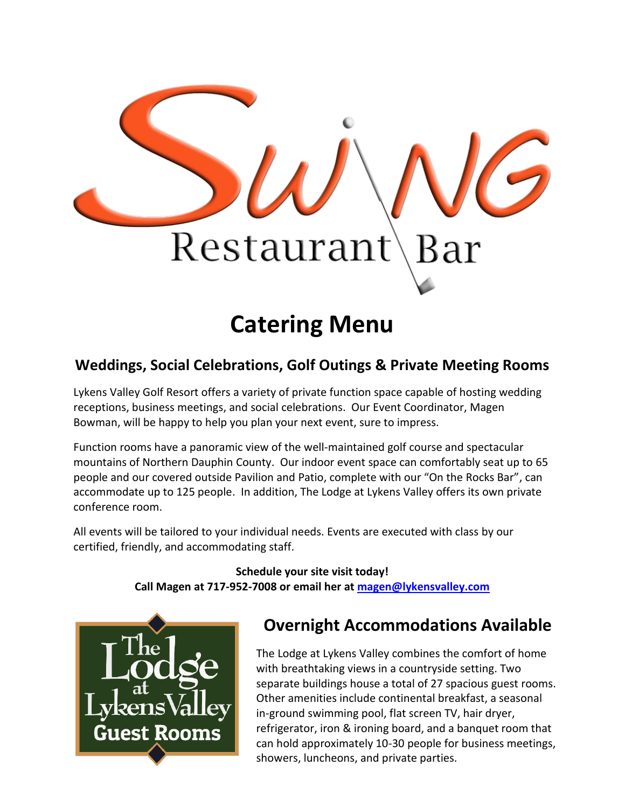

# **Catering Menu**

### **Weddings, Social Celebrations, Golf Outings & Private Meeting Rooms**

Lykens Valley Golf Resort offers a variety of private function space capable of hosting wedding receptions, business meetings, and social celebrations. Our Event Coordinator, Magen Bowman, will be happy to help you plan your next event, sure to impress.

Function rooms have a panoramic view of the well-maintained golf course and spectacular mountains of Northern Dauphin County. Our indoor event space can comfortably seat up to 65 people and our covered outside Pavilion and Patio, complete with our "On the Rocks Bar", can accommodate up to 125 people. In addition, The Lodge at Lykens Valley offers its own private conference room.

All events will be tailored to your individual needs. Events are executed with class by our certified, friendly, and accommodating staff.

> **Schedule your site visit today! Call Magen at 717-952-7008 or email her at [magen@lykensvalley.com](mailto:magen@lykensvalley.com)**



## **Overnight Accommodations Available**

The Lodge at Lykens Valley combines the comfort of home with breathtaking views in a countryside setting. Two separate buildings house a total of 27 spacious guest rooms. Other amenities include continental breakfast, a seasonal in-ground swimming pool, flat screen TV, hair dryer, refrigerator, iron & ironing board, and a banquet room that can hold approximately 10-30 people for business meetings, showers, luncheons, and private parties.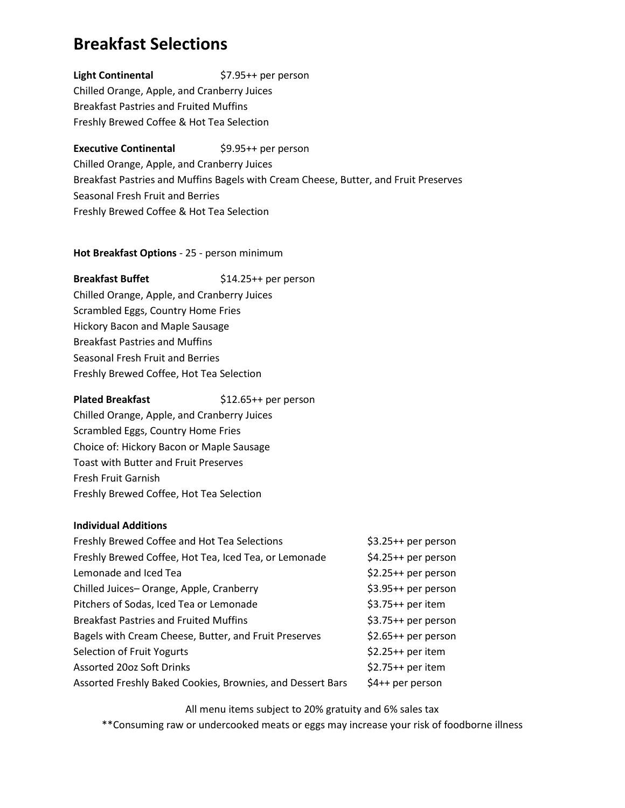### **Breakfast Selections**

**Light Continental** \$7.95++ per person Chilled Orange, Apple, and Cranberry Juices Breakfast Pastries and Fruited Muffins Freshly Brewed Coffee & Hot Tea Selection

### **Executive Continental**  $$9.95++$  per person

Chilled Orange, Apple, and Cranberry Juices Breakfast Pastries and Muffins Bagels with Cream Cheese, Butter, and Fruit Preserves Seasonal Fresh Fruit and Berries Freshly Brewed Coffee & Hot Tea Selection

### **Hot Breakfast Options** - 25 - person minimum

### **Breakfast Buffet** \$14.25++ per person Chilled Orange, Apple, and Cranberry Juices Scrambled Eggs, Country Home Fries Hickory Bacon and Maple Sausage Breakfast Pastries and Muffins Seasonal Fresh Fruit and Berries Freshly Brewed Coffee, Hot Tea Selection

### **Plated Breakfast** \$12.65++ per person

Chilled Orange, Apple, and Cranberry Juices Scrambled Eggs, Country Home Fries Choice of: Hickory Bacon or Maple Sausage Toast with Butter and Fruit Preserves Fresh Fruit Garnish Freshly Brewed Coffee, Hot Tea Selection

### **Individual Additions**

| Freshly Brewed Coffee and Hot Tea Selections               | $$3.25++$ per person |
|------------------------------------------------------------|----------------------|
| Freshly Brewed Coffee, Hot Tea, Iced Tea, or Lemonade      | $$4.25++$ per person |
| Lemonade and Iced Tea                                      | $$2.25++$ per person |
| Chilled Juices-Orange, Apple, Cranberry                    | \$3.95++ per person  |
| Pitchers of Sodas, Iced Tea or Lemonade                    | $$3.75++$ per item   |
| <b>Breakfast Pastries and Fruited Muffins</b>              | \$3.75++ per person  |
| Bagels with Cream Cheese, Butter, and Fruit Preserves      | $$2.65++$ per person |
| Selection of Fruit Yogurts                                 | $$2.25++$ per item   |
| <b>Assorted 20oz Soft Drinks</b>                           | $$2.75++$ per item   |
| Assorted Freshly Baked Cookies, Brownies, and Dessert Bars | \$4++ per person     |

All menu items subject to 20% gratuity and 6% sales tax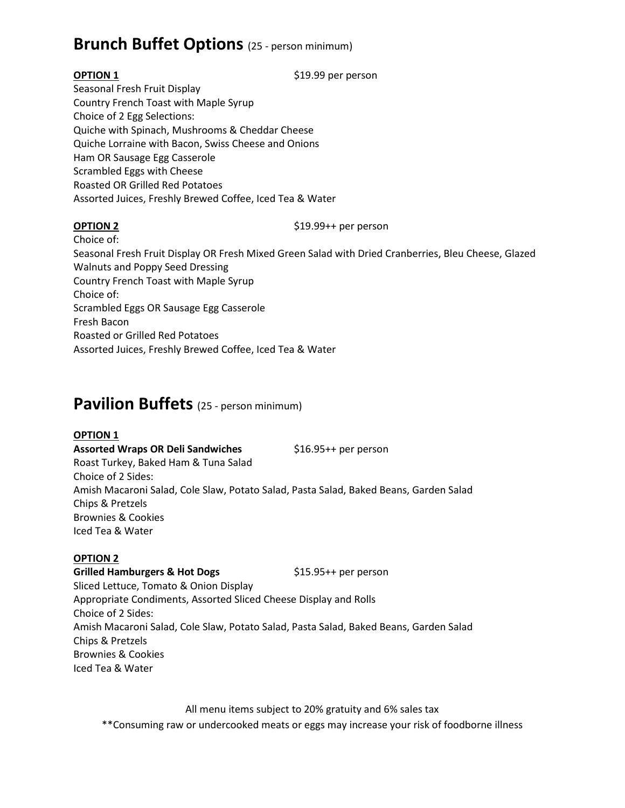### **Brunch Buffet Options** (25 - person minimum)

**OPTION 1** \$19.99 per person

Seasonal Fresh Fruit Display Country French Toast with Maple Syrup Choice of 2 Egg Selections: Quiche with Spinach, Mushrooms & Cheddar Cheese Quiche Lorraine with Bacon, Swiss Cheese and Onions Ham OR Sausage Egg Casserole Scrambled Eggs with Cheese Roasted OR Grilled Red Potatoes Assorted Juices, Freshly Brewed Coffee, Iced Tea & Water

**OPTION 2** \$19.99++ per person

Choice of: Seasonal Fresh Fruit Display OR Fresh Mixed Green Salad with Dried Cranberries, Bleu Cheese, Glazed Walnuts and Poppy Seed Dressing Country French Toast with Maple Syrup Choice of: Scrambled Eggs OR Sausage Egg Casserole Fresh Bacon Roasted or Grilled Red Potatoes Assorted Juices, Freshly Brewed Coffee, Iced Tea & Water

### **Pavilion Buffets** (25 - person minimum)

### **OPTION 1**

Assorted Wraps OR Deli Sandwiches \$16.95++ per person Roast Turkey, Baked Ham & Tuna Salad Choice of 2 Sides: Amish Macaroni Salad, Cole Slaw, Potato Salad, Pasta Salad, Baked Beans, Garden Salad Chips & Pretzels Brownies & Cookies Iced Tea & Water

### **OPTION 2**

Grilled Hamburgers & Hot Dogs \$15.95++ per person

Sliced Lettuce, Tomato & Onion Display Appropriate Condiments, Assorted Sliced Cheese Display and Rolls Choice of 2 Sides: Amish Macaroni Salad, Cole Slaw, Potato Salad, Pasta Salad, Baked Beans, Garden Salad Chips & Pretzels Brownies & Cookies Iced Tea & Water

All menu items subject to 20% gratuity and 6% sales tax \*\*Consuming raw or undercooked meats or eggs may increase your risk of foodborne illness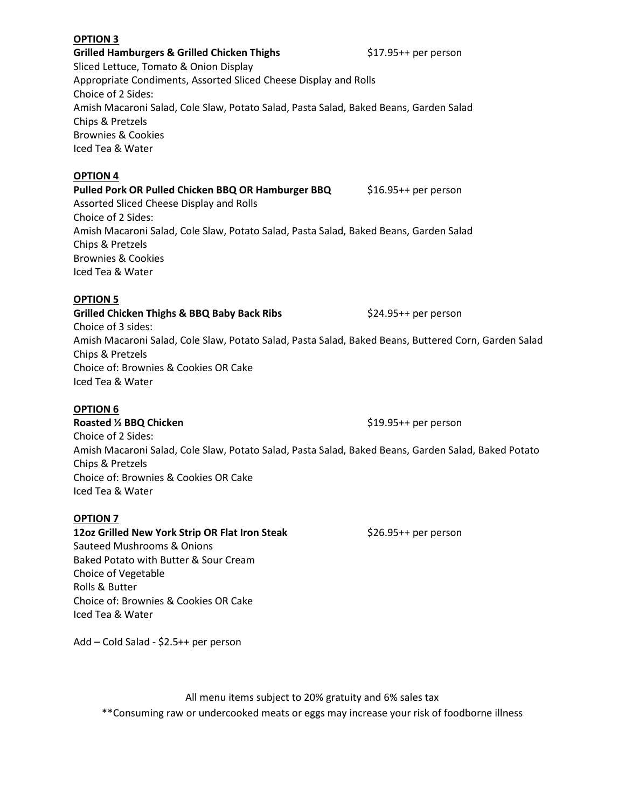#### **OPTION 3**

**Grilled Hamburgers & Grilled Chicken Thighs** \$17.95++ per person Sliced Lettuce, Tomato & Onion Display Appropriate Condiments, Assorted Sliced Cheese Display and Rolls Choice of 2 Sides: Amish Macaroni Salad, Cole Slaw, Potato Salad, Pasta Salad, Baked Beans, Garden Salad Chips & Pretzels Brownies & Cookies Iced Tea & Water

### **OPTION 4**

### **Pulled Pork OR Pulled Chicken BBQ OR Hamburger BBQ** \$16.95++ per person Assorted Sliced Cheese Display and Rolls Choice of 2 Sides: Amish Macaroni Salad, Cole Slaw, Potato Salad, Pasta Salad, Baked Beans, Garden Salad Chips & Pretzels Brownies & Cookies Iced Tea & Water

### **OPTION 5**

**Grilled Chicken Thighs & BBQ Baby Back Ribs** \$24.95++ per person Choice of 3 sides: Amish Macaroni Salad, Cole Slaw, Potato Salad, Pasta Salad, Baked Beans, Buttered Corn, Garden Salad Chips & Pretzels Choice of: Brownies & Cookies OR Cake Iced Tea & Water

### **OPTION 6**

**Roasted ½ BBQ Chicken**  $$19.95++$  per person Choice of 2 Sides: Amish Macaroni Salad, Cole Slaw, Potato Salad, Pasta Salad, Baked Beans, Garden Salad, Baked Potato Chips & Pretzels Choice of: Brownies & Cookies OR Cake Iced Tea & Water

### **OPTION 7**

**12oz Grilled New York Strip OR Flat Iron Steak <br>\$26.95++ per person** Sauteed Mushrooms & Onions Baked Potato with Butter & Sour Cream Choice of Vegetable Rolls & Butter Choice of: Brownies & Cookies OR Cake Iced Tea & Water

Add – Cold Salad - \$2.5++ per person

All menu items subject to 20% gratuity and 6% sales tax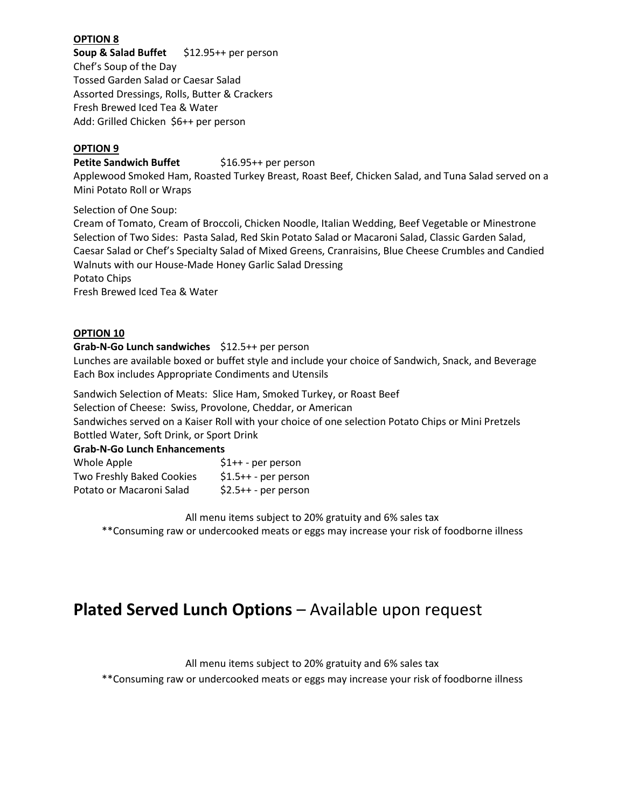### **OPTION 8**

**Soup & Salad Buffet** \$12.95++ per person Chef's Soup of the Day Tossed Garden Salad or Caesar Salad Assorted Dressings, Rolls, Butter & Crackers Fresh Brewed Iced Tea & Water Add: Grilled Chicken \$6++ per person

### **OPTION 9**

#### **Petite Sandwich Buffet** \$16.95++ per person

Applewood Smoked Ham, Roasted Turkey Breast, Roast Beef, Chicken Salad, and Tuna Salad served on a Mini Potato Roll or Wraps

Selection of One Soup:

Cream of Tomato, Cream of Broccoli, Chicken Noodle, Italian Wedding, Beef Vegetable or Minestrone Selection of Two Sides: Pasta Salad, Red Skin Potato Salad or Macaroni Salad, Classic Garden Salad, Caesar Salad or Chef's Specialty Salad of Mixed Greens, Cranraisins, Blue Cheese Crumbles and Candied Walnuts with our House-Made Honey Garlic Salad Dressing Potato Chips

Fresh Brewed Iced Tea & Water

### **OPTION 10**

#### **Grab-N-Go Lunch sandwiches** \$12.5++ per person

Lunches are available boxed or buffet style and include your choice of Sandwich, Snack, and Beverage Each Box includes Appropriate Condiments and Utensils

Sandwich Selection of Meats: Slice Ham, Smoked Turkey, or Roast Beef Selection of Cheese: Swiss, Provolone, Cheddar, or American

Sandwiches served on a Kaiser Roll with your choice of one selection Potato Chips or Mini Pretzels

Bottled Water, Soft Drink, or Sport Drink

### **Grab-N-Go Lunch Enhancements**

| Whole Apple               | $$1++$ - per person   |
|---------------------------|-----------------------|
| Two Freshly Baked Cookies | $$1.5++$ - per person |
| Potato or Macaroni Salad  | $$2.5++-$ per person  |

All menu items subject to 20% gratuity and 6% sales tax

\*\*Consuming raw or undercooked meats or eggs may increase your risk of foodborne illness

### **Plated Served Lunch Options – Available upon request**

All menu items subject to 20% gratuity and 6% sales tax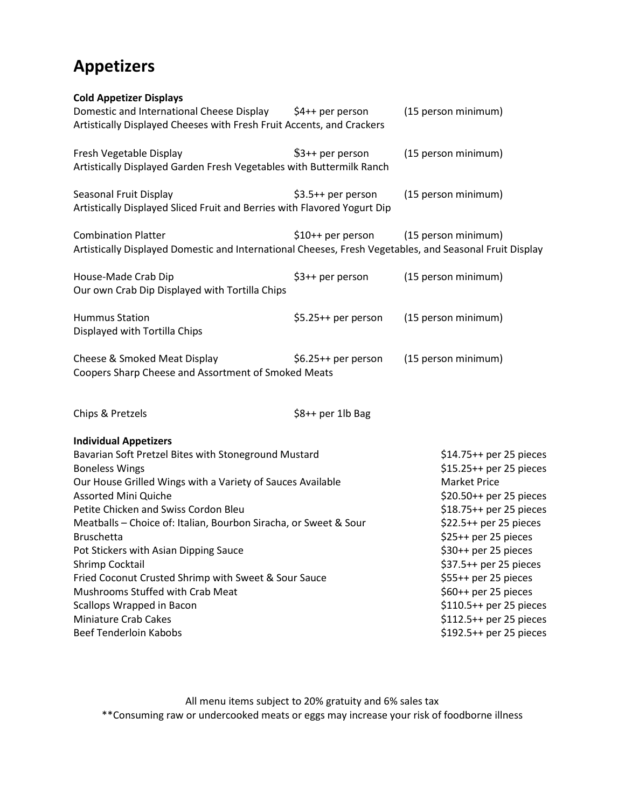## **Appetizers**

### **Cold Appetizer Displays**

| Domestic and International Cheese Display \$4++ per person<br>Artistically Displayed Cheeses with Fresh Fruit Accents, and Crackers                                                                                                            | (15 person minimum)                                                                                                                                                                                                                                                                                                                                                  |
|------------------------------------------------------------------------------------------------------------------------------------------------------------------------------------------------------------------------------------------------|----------------------------------------------------------------------------------------------------------------------------------------------------------------------------------------------------------------------------------------------------------------------------------------------------------------------------------------------------------------------|
| \$3++ per person<br>Artistically Displayed Garden Fresh Vegetables with Buttermilk Ranch                                                                                                                                                       | (15 person minimum)                                                                                                                                                                                                                                                                                                                                                  |
| \$3.5++ per person<br>Artistically Displayed Sliced Fruit and Berries with Flavored Yogurt Dip                                                                                                                                                 | (15 person minimum)                                                                                                                                                                                                                                                                                                                                                  |
| \$10++ per person                                                                                                                                                                                                                              | (15 person minimum)<br>Artistically Displayed Domestic and International Cheeses, Fresh Vegetables, and Seasonal Fruit Display                                                                                                                                                                                                                                       |
| \$3++ per person<br>Our own Crab Dip Displayed with Tortilla Chips                                                                                                                                                                             | (15 person minimum)                                                                                                                                                                                                                                                                                                                                                  |
| \$5.25++ per person                                                                                                                                                                                                                            | (15 person minimum)                                                                                                                                                                                                                                                                                                                                                  |
| $$6.25++$ per person<br>Coopers Sharp Cheese and Assortment of Smoked Meats                                                                                                                                                                    | (15 person minimum)                                                                                                                                                                                                                                                                                                                                                  |
| \$8++ per 1lb Bag                                                                                                                                                                                                                              |                                                                                                                                                                                                                                                                                                                                                                      |
| Bavarian Soft Pretzel Bites with Stoneground Mustard<br>Our House Grilled Wings with a Variety of Sauces Available<br>Meatballs - Choice of: Italian, Bourbon Siracha, or Sweet & Sour<br>Fried Coconut Crusted Shrimp with Sweet & Sour Sauce | \$14.75++ per 25 pieces<br>\$15.25++ per 25 pieces<br><b>Market Price</b><br>\$20.50++ per 25 pieces<br>\$18.75++ per 25 pieces<br>\$22.5++ per 25 pieces<br>\$25++ per 25 pieces<br>\$30++ per 25 pieces<br>\$37.5++ per 25 pieces<br>\$55++ per 25 pieces<br>\$60++ per 25 pieces<br>\$110.5++ per 25 pieces<br>\$112.5++ per 25 pieces<br>\$192.5++ per 25 pieces |
|                                                                                                                                                                                                                                                |                                                                                                                                                                                                                                                                                                                                                                      |

All menu items subject to 20% gratuity and 6% sales tax \*\*Consuming raw or undercooked meats or eggs may increase your risk of foodborne illness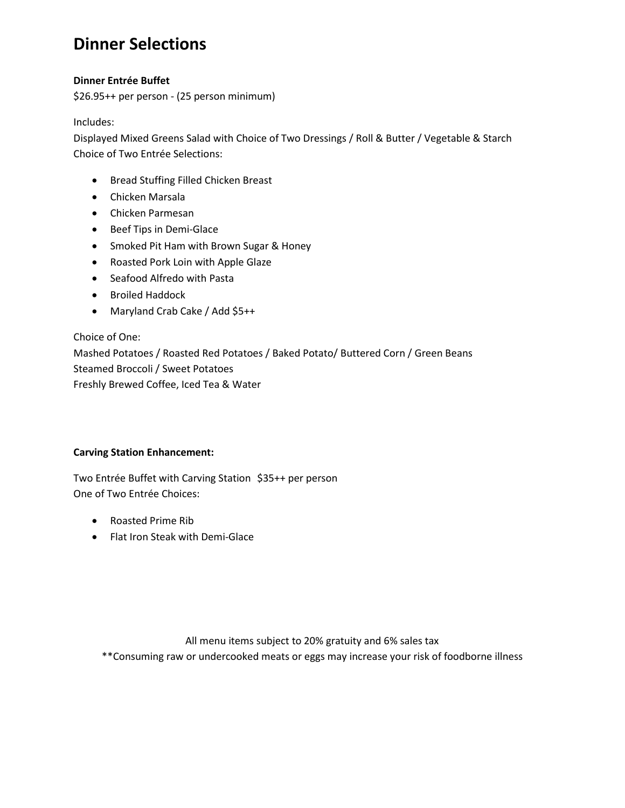### **Dinner Selections**

### **Dinner Entrée Buffet**

\$26.95++ per person - (25 person minimum)

Includes:

Displayed Mixed Greens Salad with Choice of Two Dressings / Roll & Butter / Vegetable & Starch Choice of Two Entrée Selections:

- Bread Stuffing Filled Chicken Breast
- Chicken Marsala
- Chicken Parmesan
- Beef Tips in Demi-Glace
- Smoked Pit Ham with Brown Sugar & Honey
- Roasted Pork Loin with Apple Glaze
- Seafood Alfredo with Pasta
- Broiled Haddock
- Maryland Crab Cake / Add \$5++

Choice of One: Mashed Potatoes / Roasted Red Potatoes / Baked Potato/ Buttered Corn / Green Beans Steamed Broccoli / Sweet Potatoes Freshly Brewed Coffee, Iced Tea & Water

### **Carving Station Enhancement:**

Two Entrée Buffet with Carving Station \$35++ per person One of Two Entrée Choices:

- Roasted Prime Rib
- Flat Iron Steak with Demi-Glace

All menu items subject to 20% gratuity and 6% sales tax \*\*Consuming raw or undercooked meats or eggs may increase your risk of foodborne illness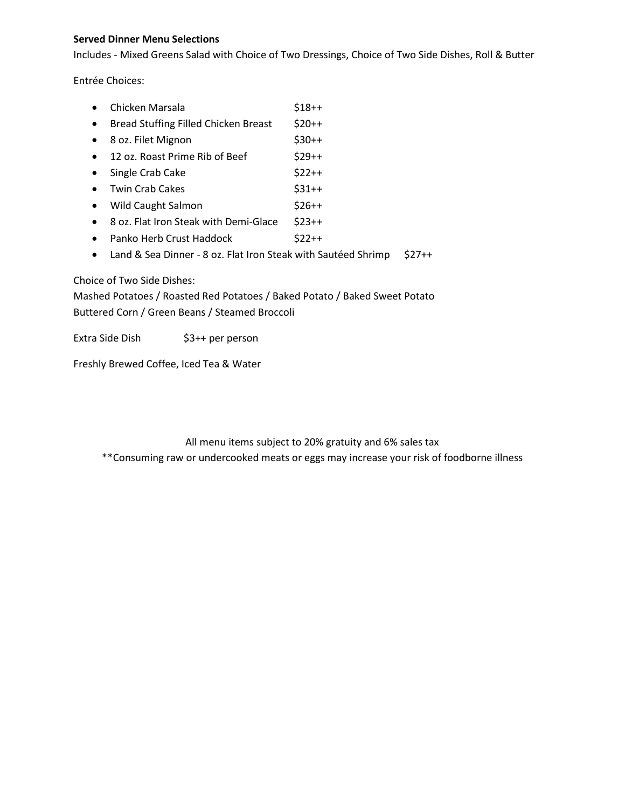### **Served Dinner Menu Selections**

Includes - Mixed Greens Salad with Choice of Two Dressings, Choice of Two Side Dishes, Roll & Butter

Entrée Choices:

- Chicken Marsala \$18++
- Bread Stuffing Filled Chicken Breast \$20++ • 8 oz. Filet Mignon \$30++
- 12 oz. Roast Prime Rib of Beef  $$29++$
- Single Crab Cake \$22++
- Twin Crab Cakes  $$31++$
- Wild Caught Salmon \$26++
- 8 oz. Flat Iron Steak with Demi-Glace \$23++
- Panko Herb Crust Haddock \$22++
- Land & Sea Dinner 8 oz. Flat Iron Steak with Sautéed Shrimp \$27++

### Choice of Two Side Dishes:

Mashed Potatoes / Roasted Red Potatoes / Baked Potato / Baked Sweet Potato Buttered Corn / Green Beans / Steamed Broccoli

Extra Side Dish \$3++ per person

Freshly Brewed Coffee, Iced Tea & Water

### All menu items subject to 20% gratuity and 6% sales tax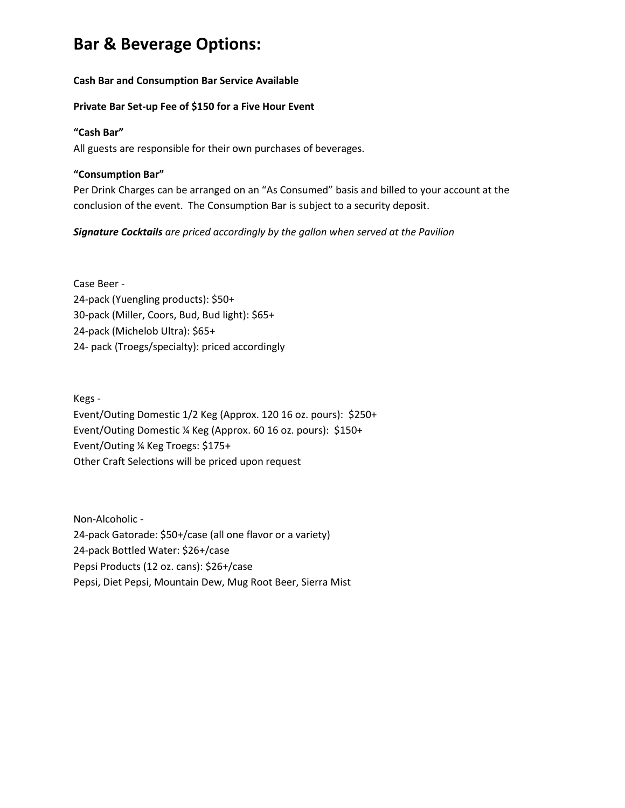### **Bar & Beverage Options:**

### **Cash Bar and Consumption Bar Service Available**

### **Private Bar Set-up Fee of \$150 for a Five Hour Event**

### **"Cash Bar"**

All guests are responsible for their own purchases of beverages.

### **"Consumption Bar"**

Per Drink Charges can be arranged on an "As Consumed" basis and billed to your account at the conclusion of the event. The Consumption Bar is subject to a security deposit.

*Signature Cocktails are priced accordingly by the gallon when served at the Pavilion*

Case Beer - 24-pack (Yuengling products): \$50+ 30-pack (Miller, Coors, Bud, Bud light): \$65+ 24-pack (Michelob Ultra): \$65+ 24- pack (Troegs/specialty): priced accordingly

Kegs - Event/Outing Domestic 1/2 Keg (Approx. 120 16 oz. pours): \$250+ Event/Outing Domestic ¼ Keg (Approx. 60 16 oz. pours): \$150+ Event/Outing ⅙ Keg Troegs: \$175+ Other Craft Selections will be priced upon request

Non-Alcoholic - 24-pack Gatorade: \$50+/case (all one flavor or a variety) 24-pack Bottled Water: \$26+/case Pepsi Products (12 oz. cans): \$26+/case Pepsi, Diet Pepsi, Mountain Dew, Mug Root Beer, Sierra Mist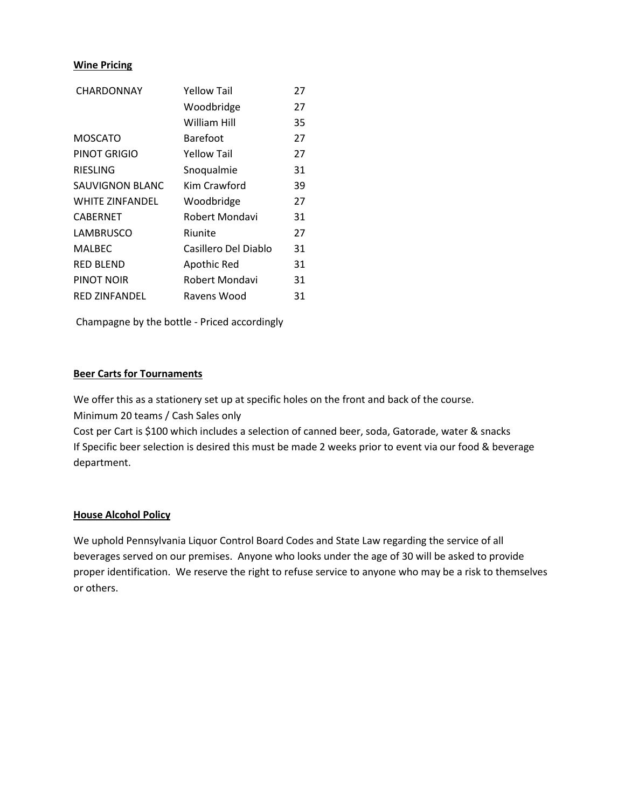### **Wine Pricing**

| CHARDONNAY             | Yellow Tail          | 27 |
|------------------------|----------------------|----|
|                        | Woodbridge           | 27 |
|                        | <b>William Hill</b>  | 35 |
| <b>MOSCATO</b>         | <b>Barefoot</b>      | 27 |
| PINOT GRIGIO           | <b>Yellow Tail</b>   | 27 |
| <b>RIESLING</b>        | Snoqualmie           | 31 |
| <b>SAUVIGNON BLANC</b> | Kim Crawford         | 39 |
| <b>WHITE ZINFANDEL</b> | Woodbridge           | 27 |
| CABERNET               | Robert Mondavi       | 31 |
| <b>LAMBRUSCO</b>       | Riunite              | 27 |
| <b>MALBEC</b>          | Casillero Del Diablo | 31 |
| <b>RED BLEND</b>       | Apothic Red          | 31 |
| PINOT NOIR             | Robert Mondavi       | 31 |
| <b>RED ZINFANDEL</b>   | Ravens Wood          | 31 |

Champagne by the bottle - Priced accordingly

### **Beer Carts for Tournaments**

We offer this as a stationery set up at specific holes on the front and back of the course.

Minimum 20 teams / Cash Sales only

Cost per Cart is \$100 which includes a selection of canned beer, soda, Gatorade, water & snacks If Specific beer selection is desired this must be made 2 weeks prior to event via our food & beverage department.

### **House Alcohol Policy**

We uphold Pennsylvania Liquor Control Board Codes and State Law regarding the service of all beverages served on our premises. Anyone who looks under the age of 30 will be asked to provide proper identification. We reserve the right to refuse service to anyone who may be a risk to themselves or others.